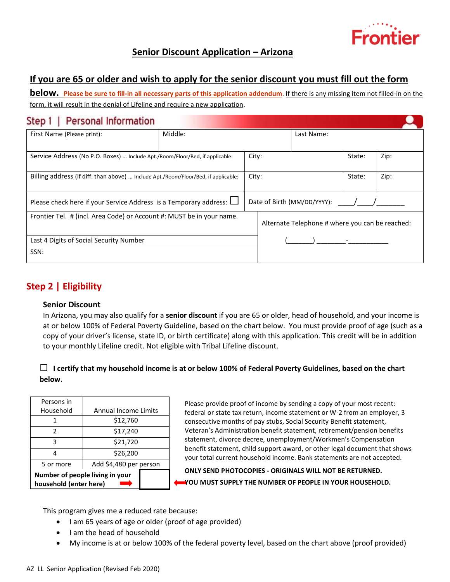

# **Senior Discount Application – Arizona**

# **If you are 65 or older and wish to apply for the senior discount you must fill out the form**

**below. Please be sure to fill-in all necessary parts of this application addendum**. If there is any missing item not filled-in on the form, it will result in the denial of Lifeline and require a new application.

| <b>Personal Information</b><br>Step 1                                              |         |                             |       |                                                 |        |      |
|------------------------------------------------------------------------------------|---------|-----------------------------|-------|-------------------------------------------------|--------|------|
| First Name (Please print):                                                         | Middle: |                             |       | Last Name:                                      |        |      |
|                                                                                    |         |                             |       |                                                 |        |      |
| Service Address (No P.O. Boxes)  Include Apt./Room/Floor/Bed, if applicable:       |         |                             | City: |                                                 | State: | Zip: |
| Billing address (if diff. than above)  Include Apt./Room/Floor/Bed, if applicable: |         |                             | City: |                                                 | State: | Zip: |
| Please check here if your Service Address is a Temporary address: $\Box$           |         | Date of Birth (MM/DD/YYYY): |       |                                                 |        |      |
| Frontier Tel. # (incl. Area Code) or Account #: MUST be in your name.              |         |                             |       | Alternate Telephone # where you can be reached: |        |      |
| Last 4 Digits of Social Security Number                                            |         |                             |       |                                                 |        |      |
| SSN:                                                                               |         |                             |       |                                                 |        |      |

# **Step 2 | Eligibility**

### **Senior Discount**

In Arizona, you may also qualify for a **senior discount** if you are 65 or older, head of household, and your income is at or below 100% of Federal Poverty Guideline, based on the chart below. You must provide proof of age (such as a copy of your driver's license, state ID, or birth certificate) along with this application. This credit will be in addition to your monthly Lifeline credit. Not eligible with Tribal Lifeline discount.

### ☐ **I certify that my household income is at or below 100% of Federal Poverty Guidelines, based on the chart below.**

| Persons in                                                |                             |  |  |  |
|-----------------------------------------------------------|-----------------------------|--|--|--|
| Household                                                 | <b>Annual Income Limits</b> |  |  |  |
|                                                           | \$12,760                    |  |  |  |
| 2                                                         | \$17,240                    |  |  |  |
| ς                                                         | \$21,720                    |  |  |  |
|                                                           | \$26,200                    |  |  |  |
| 5 or more                                                 | Add \$4,480 per person      |  |  |  |
| Number of people living in your<br>household (enter here) |                             |  |  |  |

Please provide proof of income by sending a copy of your most recent: federal or state tax return, income statement or W-2 from an employer, 3 consecutive months of pay stubs, Social Security Benefit statement, Veteran's Administration benefit statement, retirement/pension benefits statement, divorce decree, unemployment/Workmen's Compensation benefit statement, child support award, or other legal document that shows your total current household income. Bank statements are not accepted.

**ONLY SEND PHOTOCOPIES - ORIGINALS WILL NOT BE RETURNED. YOU MUST SUPPLY THE NUMBER OF PEOPLE IN YOUR HOUSEHOLD.**

This program gives me a reduced rate because:

- I am 65 years of age or older (proof of age provided)
- I am the head of household
- My income is at or below 100% of the federal poverty level, based on the chart above (proof provided)